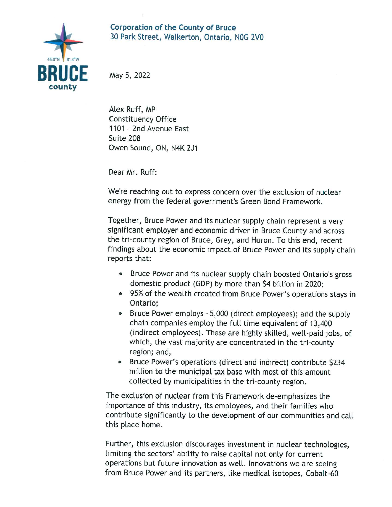## Corporation of the County of Bruce 30 Park Street, Walkerton, Ontario, NOG 2V0



May 5, 2022

ALex Ruff, MP Constituency Office 1101 - 2nd Avenue East Suite 208 Owen Sound, ON, N4K 2J1

Dear Mr. Ruff:

We're reaching out to express concern over the exclusion of nuclear energy from the federal government's Green Bond Framework.

Together, Bruce Power and its nuclear supply chain represent a very significant employer and economic driver in Bruce County and across the tri-county region of Bruce, Grey, and Huron. To this end, recerit findings about the economic impact of Bruce Power and its supply chain reports that:

- Bruce Power and its nuclear supply chain boosted Ontario's gross domestic product (GDP) by more than 54 billion in 2020;
- 95% of the wealth created from Bruce Power's operations stays in Ontario;
- Bruce Power employs ~5,000 (direct employees); and the supply chain companies employ the full time equivalent of 13,400 (indirect employees). These are highly skilled, well-paid jobs, of which, the vast majority are concentrated in the tri-county region; and,
- Bruce Power's operations (direct and indirect) contribute \$234 million to the municipal tax base with most of this amount collected by municipalities in the tri-county region.

The exclusion of nuclear from this Framework de-emphasizes the importance of this industry, its employees, and their families who contribute significantly to the development of our communities and call this pLace home.

Further, this exclusion discourages investment in nuclear technologies, limiting the sectors' ability to raise capital not only for current operations but future innovation as well. Innovations we are seeing from Bruce Power and its partners, Like medical isotopes, Cobalt-60